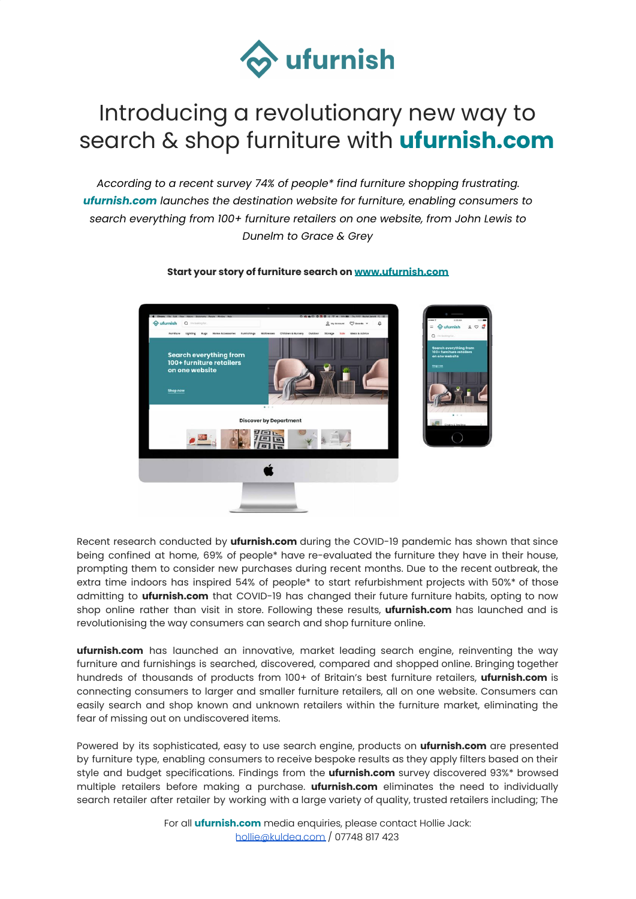

## Introducing a revolutionary new way to search & shop furniture with **ufurnish.com**

*According to a recent survey 74% of people\* find furniture shopping frustrating. ufurnish.com launches the destination website for furniture, enabling consumers to search everything from 100+ furniture retailers on one website, from John Lewis to Dunelm to Grace & Grey*



## **Start your story of furniture search on [www.ufurnish.com](http://www.ufurnish.com/)**

Recent research conducted by **ufurnish.com** during the COVID-19 pandemic has shown that since being confined at home, 69% of people\* have re-evaluated the furniture they have in their house, prompting them to consider new purchases during recent months. Due to the recent outbreak, the extra time indoors has inspired 54% of people\* to start refurbishment projects with 50%\* of those admitting to **ufurnish.com** that COVID-19 has changed their future furniture habits, opting to now shop online rather than visit in store. Following these results, **ufurnish.com** has launched and is revolutionising the way consumers can search and shop furniture online.

**ufurnish.com** has launched an innovative, market leading search engine, reinventing the way furniture and furnishings is searched, discovered, compared and shopped online. Bringing together hundreds of thousands of products from 100+ of Britain's best furniture retailers, **ufurnish.com** is connecting consumers to larger and smaller furniture retailers, all on one website. Consumers can easily search and shop known and unknown retailers within the furniture market, eliminating the fear of missing out on undiscovered items.

Powered by its sophisticated, easy to use search engine, products on **ufurnish.com** are presented by furniture type, enabling consumers to receive bespoke results as they apply filters based on their style and budget specifications. Findings from the **ufurnish.com** survey discovered 93%\* browsed multiple retailers before making a purchase. **ufurnish.com** eliminates the need to individually search retailer after retailer by working with a large variety of quality, trusted retailers including; The

> For all **ufurnish.com** media enquiries, please contact Hollie Jack: [hollie@kuldea.com](mailto:hollie@kuldea.com) / 07748 817 423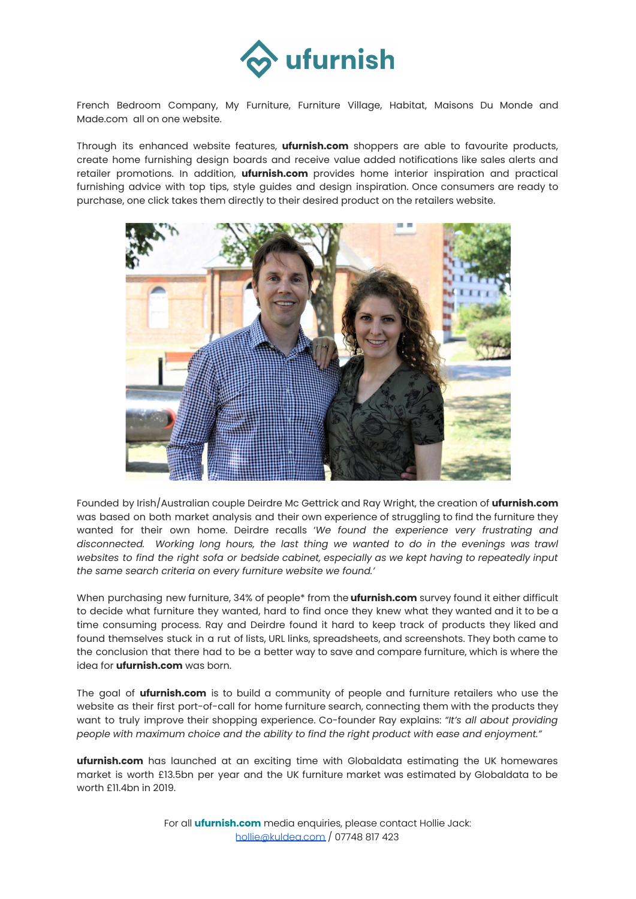

French Bedroom Company, My Furniture, Furniture Village, Habitat, Maisons Du Monde and Made.com all on one website.

Through its enhanced website features, **ufurnish.com** shoppers are able to favourite products, create home furnishing design boards and receive value added notifications like sales alerts and retailer promotions. In addition, **ufurnish.com** provides home interior inspiration and practical furnishing advice with top tips, style guides and design inspiration. Once consumers are ready to purchase, one click takes them directly to their desired product on the retailers website.



Founded by Irish/Australian couple Deirdre Mc Gettrick and Ray Wright, the creation of **ufurnish.com** was based on both market analysis and their own experience of struggling to find the furniture they wanted for their own home. Deirdre recalls '*We found the experience very frustrating and disconnected. Working long hours, the last thing we wanted to do in the evenings was trawl websites to find the right sofa or bedside cabinet, especially as we kept having to repeatedly input the same search criteria on every furniture website we found.'*

When purchasing new furniture, 34% of people\* from the **ufurnish.com** survey found it either difficult to decide what furniture they wanted, hard to find once they knew what they wanted and it to be a time consuming process. Ray and Deirdre found it hard to keep track of products they liked and found themselves stuck in a rut of lists, URL links, spreadsheets, and screenshots. They both came to the conclusion that there had to be a better way to save and compare furniture, which is where the idea for **ufurnish.com** was born.

The goal of **ufurnish.com** is to build a community of people and furniture retailers who use the website as their first port-of-call for home furniture search, connecting them with the products they want to truly improve their shopping experience. Co-founder Ray explains: *"It's all about providing people with maximum choice and the ability to find the right product with ease and enjoyment."*

**ufurnish.com** has launched at an exciting time with Globaldata estimating the UK homewares market is worth £13.5bn per year and the UK furniture market was estimated by Globaldata to be worth £11.4bn in 2019.

> For all **ufurnish.com** media enquiries, please contact Hollie Jack: [hollie@kuldea.com](mailto:hollie@kuldea.com) / 07748 817 423